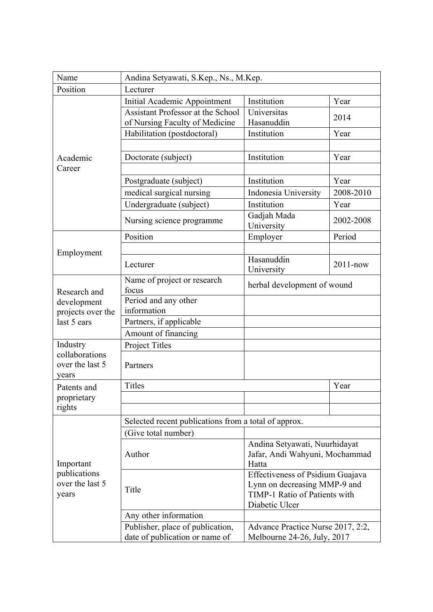| Name                                                            | Andina Setyawati, S.Kep., Ns., M.Kep.                                      |                                                                                                                     |              |  |
|-----------------------------------------------------------------|----------------------------------------------------------------------------|---------------------------------------------------------------------------------------------------------------------|--------------|--|
| Position                                                        | Lecturer                                                                   |                                                                                                                     |              |  |
| Academic<br>Career                                              | Initial Academic Appointment                                               | Institution                                                                                                         | Year         |  |
|                                                                 | <b>Assistant Professor at the School</b><br>of Nursing Faculty of Medicine | Universitas<br>Hasanuddin                                                                                           | 2014         |  |
|                                                                 | Habilitation (postdoctoral)                                                | Institution                                                                                                         | Year         |  |
|                                                                 |                                                                            |                                                                                                                     |              |  |
|                                                                 | Doctorate (subject)                                                        | Institution                                                                                                         | Year         |  |
|                                                                 |                                                                            |                                                                                                                     |              |  |
|                                                                 | Postgraduate (subject)                                                     | Institution                                                                                                         | Year         |  |
|                                                                 | medical surgical nursing                                                   | Indonesia University                                                                                                | 2008-2010    |  |
|                                                                 | Undergraduate (subject)                                                    | Institution                                                                                                         | Year         |  |
|                                                                 | Nursing science programme                                                  | Gadjah Mada<br>University                                                                                           | 2002-2008    |  |
|                                                                 | Position                                                                   | Employer                                                                                                            | Period       |  |
|                                                                 |                                                                            |                                                                                                                     |              |  |
| Employment                                                      | Lecturer                                                                   | Hasanuddin<br>University                                                                                            | $2011 - now$ |  |
| Research and<br>development<br>projects over the<br>last 5 ears | Name of project or research<br>focus                                       | herbal development of wound                                                                                         |              |  |
|                                                                 | Period and any other<br>information                                        |                                                                                                                     |              |  |
|                                                                 | Partners, if applicable                                                    |                                                                                                                     |              |  |
|                                                                 | Amount of financing                                                        |                                                                                                                     |              |  |
| Industry                                                        | <b>Project Titles</b>                                                      |                                                                                                                     |              |  |
| collaborations<br>over the last 5<br>years                      | Partners                                                                   |                                                                                                                     |              |  |
| Patents and<br>proprietary                                      | <b>Titles</b>                                                              |                                                                                                                     | Year         |  |
|                                                                 |                                                                            |                                                                                                                     |              |  |
| rights                                                          |                                                                            |                                                                                                                     |              |  |
| Important<br>publications<br>over the last 5<br>years           | Selected recent publications from a total of approx.                       |                                                                                                                     |              |  |
|                                                                 | (Give total number)                                                        |                                                                                                                     |              |  |
|                                                                 | Author                                                                     | Andina Setyawati, Nuurhidayat<br>Jafar, Andi Wahyuni, Mochammad<br>Hatta                                            |              |  |
|                                                                 | Title                                                                      | Effectiveness of Psidium Guajava<br>Lynn on decreasing MMP-9 and<br>TIMP-1 Ratio of Patients with<br>Diabetic Ulcer |              |  |
|                                                                 | Any other information                                                      |                                                                                                                     |              |  |
|                                                                 | Publisher, place of publication,<br>date of publication or name of         | Advance Practice Nurse 2017, 2:2,<br>Melbourne 24-26, July, 2017                                                    |              |  |